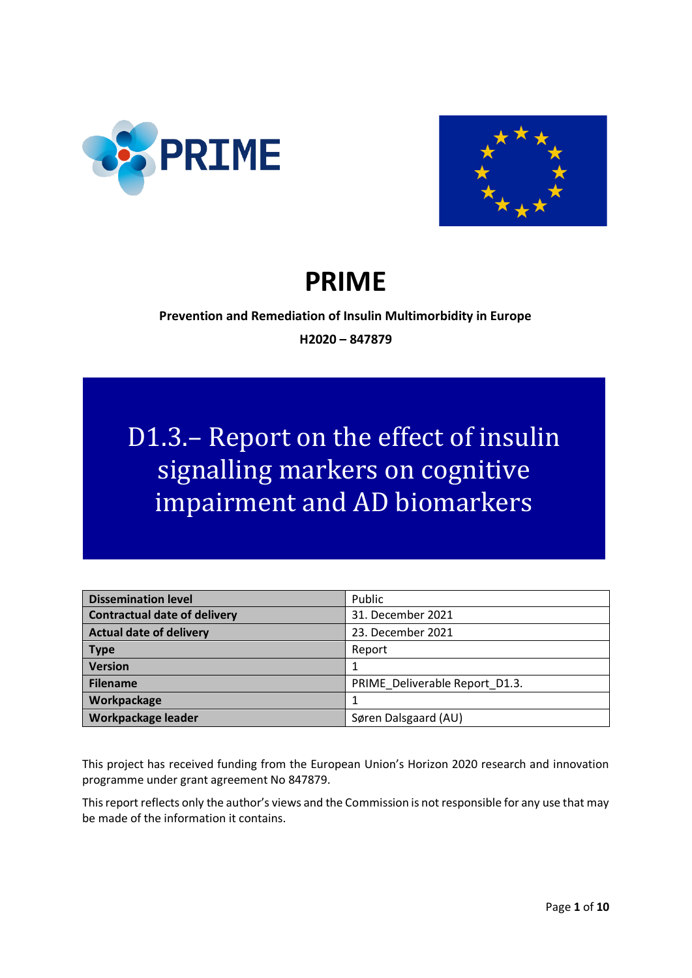



# **PRIME**

# **Prevention and Remediation of Insulin Multimorbidity in Europe H2020 – 847879**

# D1.3.– Report on the effect of insulin signalling markers on cognitive impairment and AD biomarkers

| <b>Dissemination level</b>          | Public                         |
|-------------------------------------|--------------------------------|
| <b>Contractual date of delivery</b> | 31. December 2021              |
| <b>Actual date of delivery</b>      | 23. December 2021              |
| <b>Type</b>                         | Report                         |
| <b>Version</b>                      |                                |
| <b>Filename</b>                     | PRIME Deliverable Report D1.3. |
| Workpackage                         |                                |
| Workpackage leader                  | Søren Dalsgaard (AU)           |

This project has received funding from the European Union's Horizon 2020 research and innovation programme under grant agreement No 847879.

This report reflects only the author's views and the Commission is not responsible for any use that may be made of the information it contains.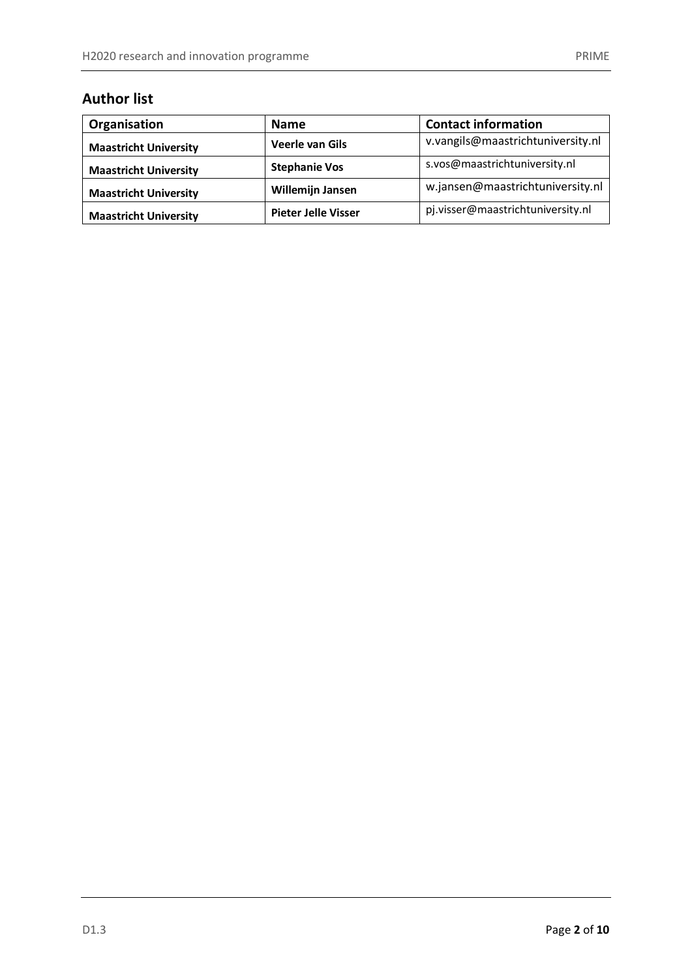# **Author list**

| Organisation                 | <b>Name</b>                | <b>Contact information</b>        |  |
|------------------------------|----------------------------|-----------------------------------|--|
| <b>Maastricht University</b> | <b>Veerle van Gils</b>     | v.vangils@maastrichtuniversity.nl |  |
| <b>Maastricht University</b> | <b>Stephanie Vos</b>       | s.vos@maastrichtuniversity.nl     |  |
| <b>Maastricht University</b> | <b>Willemijn Jansen</b>    | w.jansen@maastrichtuniversity.nl  |  |
| <b>Maastricht University</b> | <b>Pieter Jelle Visser</b> | pj.visser@maastrichtuniversity.nl |  |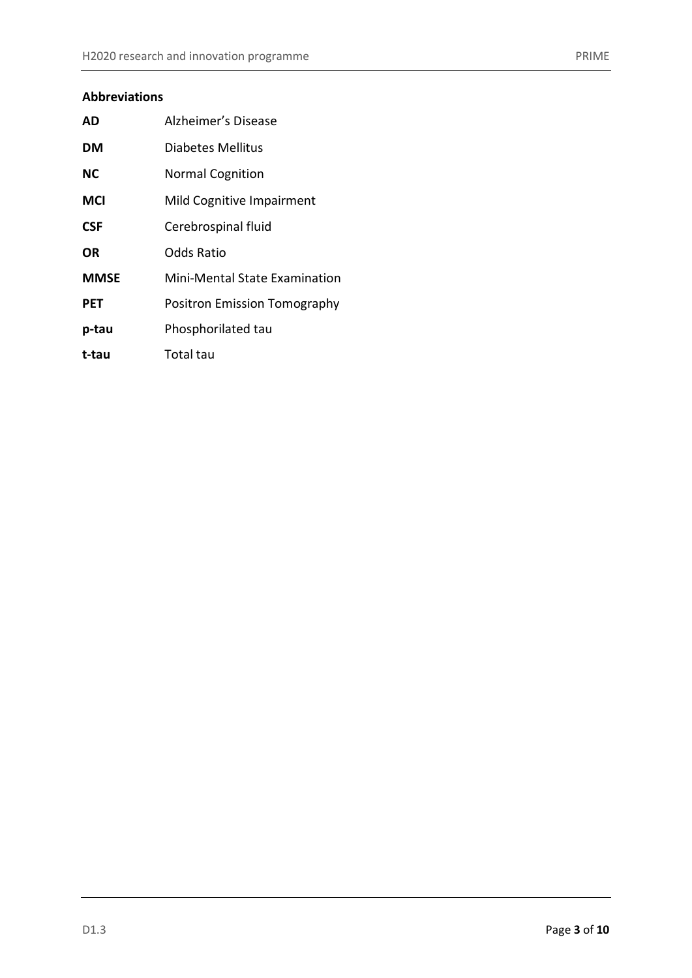# **Abbreviations**

| AD          | Alzheimer's Disease           |  |  |
|-------------|-------------------------------|--|--|
| DM          | Diabetes Mellitus             |  |  |
| <b>NC</b>   | <b>Normal Cognition</b>       |  |  |
| <b>MCI</b>  | Mild Cognitive Impairment     |  |  |
| <b>CSF</b>  | Cerebrospinal fluid           |  |  |
| OR          | Odds Ratio                    |  |  |
| <b>MMSE</b> | Mini-Mental State Examination |  |  |
| <b>PET</b>  | Positron Emission Tomography  |  |  |
| p-tau       | Phosphorilated tau            |  |  |
| t-tau       | Total tau                     |  |  |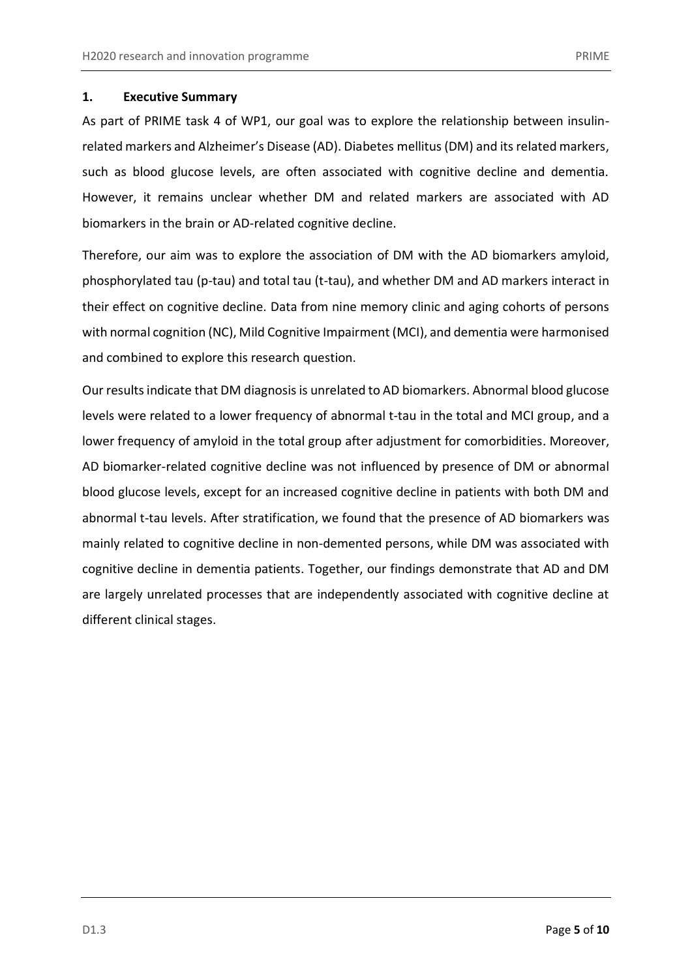#### <span id="page-4-0"></span>**1. Executive Summary**

As part of PRIME task 4 of WP1, our goal was to explore the relationship between insulinrelated markers and Alzheimer's Disease (AD). Diabetes mellitus (DM) and its related markers, such as blood glucose levels, are often associated with cognitive decline and dementia. However, it remains unclear whether DM and related markers are associated with AD biomarkers in the brain or AD-related cognitive decline.

Therefore, our aim was to explore the association of DM with the AD biomarkers amyloid, phosphorylated tau (p-tau) and total tau (t-tau), and whether DM and AD markers interact in their effect on cognitive decline. Data from nine memory clinic and aging cohorts of persons with normal cognition (NC), Mild Cognitive Impairment (MCI), and dementia were harmonised and combined to explore this research question.

Our results indicate that DM diagnosis is unrelated to AD biomarkers. Abnormal blood glucose levels were related to a lower frequency of abnormal t-tau in the total and MCI group, and a lower frequency of amyloid in the total group after adjustment for comorbidities. Moreover, AD biomarker-related cognitive decline was not influenced by presence of DM or abnormal blood glucose levels, except for an increased cognitive decline in patients with both DM and abnormal t-tau levels. After stratification, we found that the presence of AD biomarkers was mainly related to cognitive decline in non-demented persons, while DM was associated with cognitive decline in dementia patients. Together, our findings demonstrate that AD and DM are largely unrelated processes that are independently associated with cognitive decline at different clinical stages.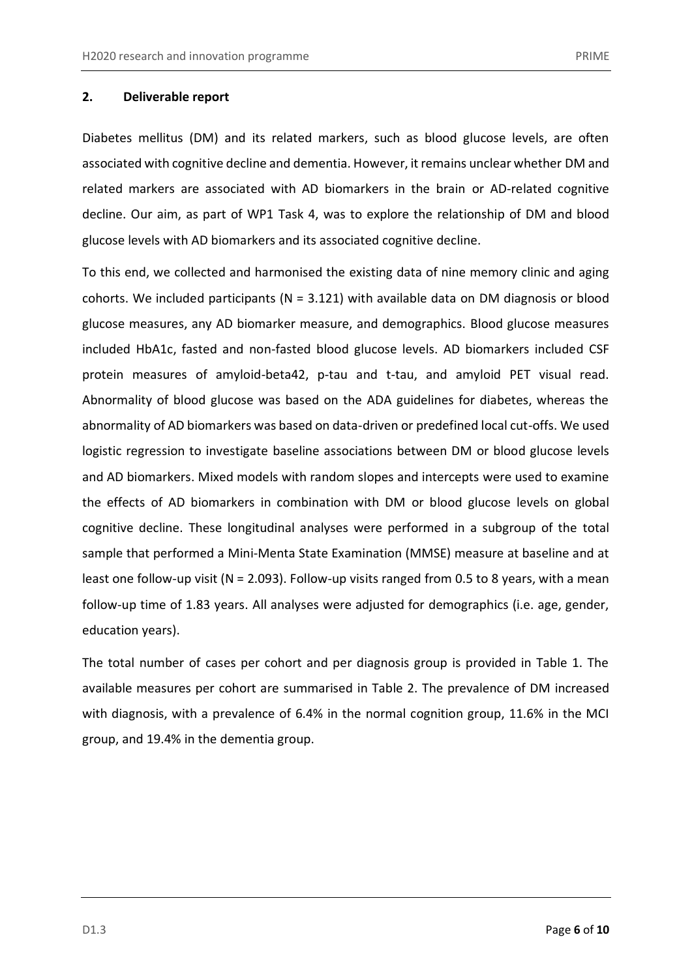#### <span id="page-5-0"></span>**2. Deliverable report**

Diabetes mellitus (DM) and its related markers, such as blood glucose levels, are often associated with cognitive decline and dementia. However, it remains unclear whether DM and related markers are associated with AD biomarkers in the brain or AD-related cognitive decline. Our aim, as part of WP1 Task 4, was to explore the relationship of DM and blood glucose levels with AD biomarkers and its associated cognitive decline.

To this end, we collected and harmonised the existing data of nine memory clinic and aging cohorts. We included participants ( $N = 3.121$ ) with available data on DM diagnosis or blood glucose measures, any AD biomarker measure, and demographics. Blood glucose measures included HbA1c, fasted and non-fasted blood glucose levels. AD biomarkers included CSF protein measures of amyloid-beta42, p-tau and t-tau, and amyloid PET visual read. Abnormality of blood glucose was based on the ADA guidelines for diabetes, whereas the abnormality of AD biomarkers was based on data-driven or predefined local cut-offs. We used logistic regression to investigate baseline associations between DM or blood glucose levels and AD biomarkers. Mixed models with random slopes and intercepts were used to examine the effects of AD biomarkers in combination with DM or blood glucose levels on global cognitive decline. These longitudinal analyses were performed in a subgroup of the total sample that performed a Mini-Menta State Examination (MMSE) measure at baseline and at least one follow-up visit (N = 2.093). Follow-up visits ranged from 0.5 to 8 years, with a mean follow-up time of 1.83 years. All analyses were adjusted for demographics (i.e. age, gender, education years).

The total number of cases per cohort and per diagnosis group is provided in Table 1. The available measures per cohort are summarised in Table 2. The prevalence of DM increased with diagnosis, with a prevalence of 6.4% in the normal cognition group, 11.6% in the MCI group, and 19.4% in the dementia group.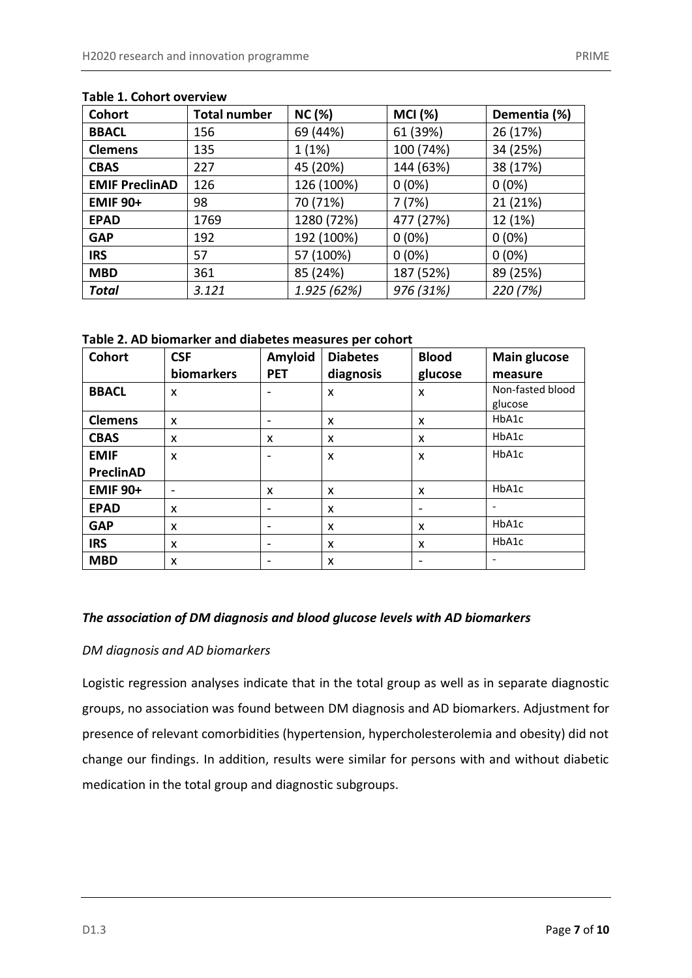| Cohort                | <b>Total number</b> | <b>NC (%)</b> | <b>MCI (%)</b> | Dementia (%) |
|-----------------------|---------------------|---------------|----------------|--------------|
| <b>BBACL</b>          | 69 (44%)<br>156     |               | 61 (39%)       | 26 (17%)     |
| <b>Clemens</b>        | 1(1%)<br>135        |               | 100 (74%)      | 34 (25%)     |
| <b>CBAS</b>           | 227                 | 45 (20%)      | 144 (63%)      | 38 (17%)     |
| <b>EMIF PreclinAD</b> | 126                 | 126 (100%)    | $0(0\%)$       | $0(0\%)$     |
| <b>EMIF 90+</b>       | 70 (71%)<br>98      |               | 7(7%)          | 21 (21%)     |
| <b>EPAD</b>           | 1280 (72%)<br>1769  |               | 477 (27%)      | 12 (1%)      |
| <b>GAP</b>            | 192                 | 192 (100%)    | $0(0\%)$       | $0(0\%)$     |
| <b>IRS</b>            | 57                  | 57 (100%)     | $0(0\%)$       | $0(0\%)$     |
| <b>MBD</b>            | 361                 | 85 (24%)      | 187 (52%)      | 89 (25%)     |
| <b>Total</b>          | 3.121               | 1.925 (62%)   | 976 (31%)      | 220 (7%)     |

## **Table 1. Cohort overview**

**Table 2. AD biomarker and diabetes measures per cohort**

| <b>Cohort</b>    | <b>CSF</b>               | Amyloid    | <b>Diabetes</b> | <b>Blood</b> | Main glucose     |
|------------------|--------------------------|------------|-----------------|--------------|------------------|
|                  | biomarkers               | <b>PET</b> | diagnosis       | glucose      | measure          |
| <b>BBACL</b>     | X                        |            | X               | X            | Non-fasted blood |
|                  |                          |            |                 |              | glucose          |
| <b>Clemens</b>   | X                        |            | X               | X            | HbA1c            |
| <b>CBAS</b>      | X                        | X          | X               | X            | HbA1c            |
| <b>EMIF</b>      | X                        |            | X               | X            | HbA1c            |
| <b>PreclinAD</b> |                          |            |                 |              |                  |
| <b>EMIF 90+</b>  | $\overline{\phantom{0}}$ | X          | X               | X            | HbA1c            |
| <b>EPAD</b>      | X                        |            | X               | -            |                  |
| <b>GAP</b>       | X                        |            | X               | X            | HbA1c            |
| <b>IRS</b>       | X                        |            | X               | X            | HbA1c            |
| <b>MBD</b>       | X                        |            | X               |              |                  |

# *The association of DM diagnosis and blood glucose levels with AD biomarkers*

## *DM diagnosis and AD biomarkers*

Logistic regression analyses indicate that in the total group as well as in separate diagnostic groups, no association was found between DM diagnosis and AD biomarkers. Adjustment for presence of relevant comorbidities (hypertension, hypercholesterolemia and obesity) did not change our findings. In addition, results were similar for persons with and without diabetic medication in the total group and diagnostic subgroups.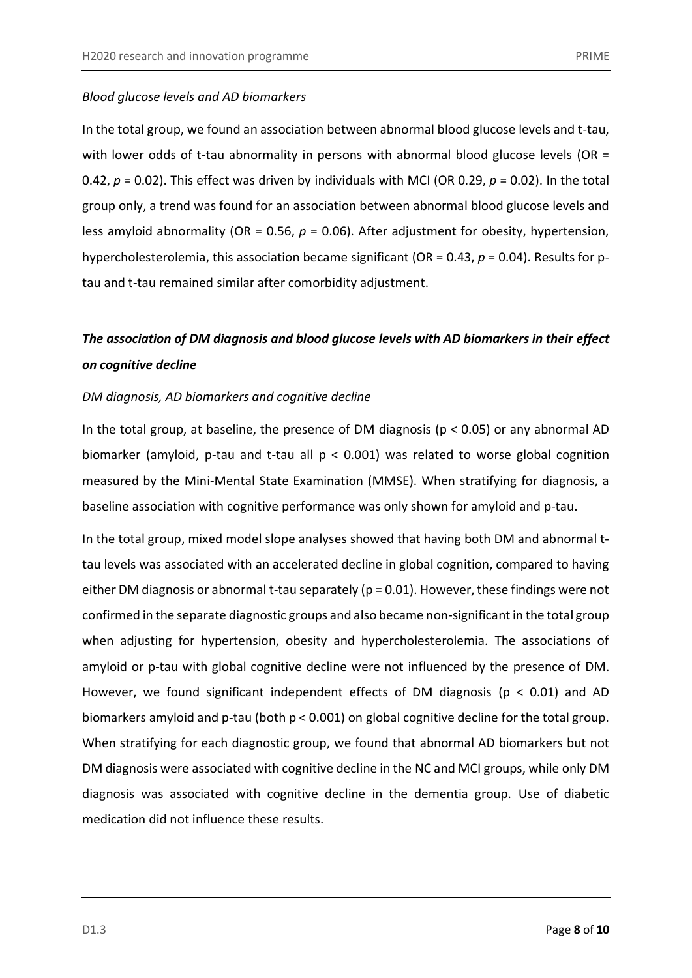In the total group, we found an association between abnormal blood glucose levels and t-tau, with lower odds of t-tau abnormality in persons with abnormal blood glucose levels (OR  $=$ 0.42, *p* = 0.02). This effect was driven by individuals with MCI (OR 0.29, *p* = 0.02). In the total group only, a trend was found for an association between abnormal blood glucose levels and less amyloid abnormality (OR = 0.56, *p* = 0.06). After adjustment for obesity, hypertension, hypercholesterolemia, this association became significant (OR = 0.43, *p* = 0.04). Results for ptau and t-tau remained similar after comorbidity adjustment.

# *The association of DM diagnosis and blood glucose levels with AD biomarkers in their effect on cognitive decline*

#### *DM diagnosis, AD biomarkers and cognitive decline*

In the total group, at baseline, the presence of DM diagnosis ( $p < 0.05$ ) or any abnormal AD biomarker (amyloid, p-tau and t-tau all p < 0.001) was related to worse global cognition measured by the Mini-Mental State Examination (MMSE). When stratifying for diagnosis, a baseline association with cognitive performance was only shown for amyloid and p-tau.

In the total group, mixed model slope analyses showed that having both DM and abnormal ttau levels was associated with an accelerated decline in global cognition, compared to having either DM diagnosis or abnormal t-tau separately (p = 0.01). However, these findings were not confirmed in the separate diagnostic groups and also became non-significant in the total group when adjusting for hypertension, obesity and hypercholesterolemia. The associations of amyloid or p-tau with global cognitive decline were not influenced by the presence of DM. However, we found significant independent effects of DM diagnosis ( $p < 0.01$ ) and AD biomarkers amyloid and p-tau (both p < 0.001) on global cognitive decline for the total group. When stratifying for each diagnostic group, we found that abnormal AD biomarkers but not DM diagnosis were associated with cognitive decline in the NC and MCI groups, while only DM diagnosis was associated with cognitive decline in the dementia group. Use of diabetic medication did not influence these results.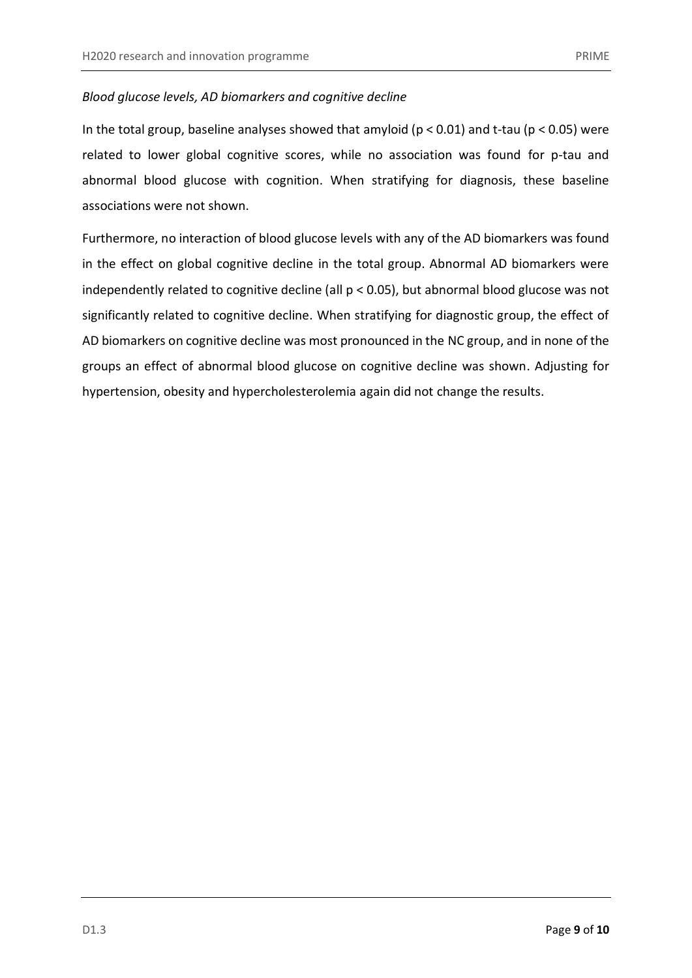## *Blood glucose levels, AD biomarkers and cognitive decline*

In the total group, baseline analyses showed that amyloid ( $p < 0.01$ ) and t-tau ( $p < 0.05$ ) were related to lower global cognitive scores, while no association was found for p-tau and abnormal blood glucose with cognition. When stratifying for diagnosis, these baseline associations were not shown.

Furthermore, no interaction of blood glucose levels with any of the AD biomarkers was found in the effect on global cognitive decline in the total group. Abnormal AD biomarkers were independently related to cognitive decline (all p < 0.05), but abnormal blood glucose was not significantly related to cognitive decline. When stratifying for diagnostic group, the effect of AD biomarkers on cognitive decline was most pronounced in the NC group, and in none of the groups an effect of abnormal blood glucose on cognitive decline was shown. Adjusting for hypertension, obesity and hypercholesterolemia again did not change the results.